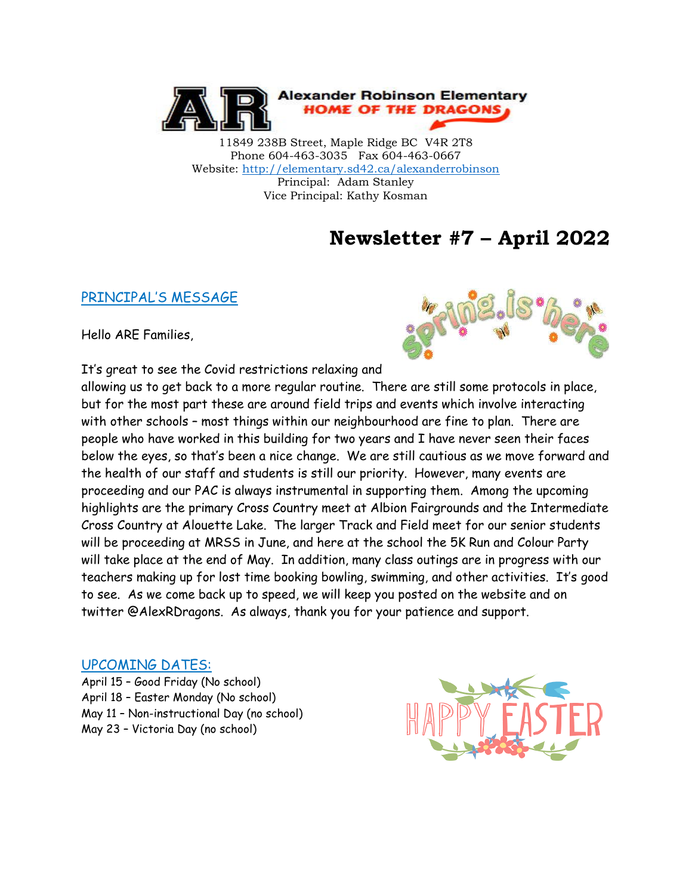

11849 238B Street, Maple Ridge BC V4R 2T8 Phone 604-463-3035 Fax 604-463-0667 Website:<http://elementary.sd42.ca/alexanderrobinson> Principal: Adam Stanley Vice Principal: Kathy Kosman

## **Newsletter #7 – April 2022**

#### PRINCIPAL'S MESSAGE

Hello ARE Families,



It's great to see the Covid restrictions relaxing and

allowing us to get back to a more regular routine. There are still some protocols in place, but for the most part these are around field trips and events which involve interacting with other schools – most things within our neighbourhood are fine to plan. There are people who have worked in this building for two years and I have never seen their faces below the eyes, so that's been a nice change. We are still cautious as we move forward and the health of our staff and students is still our priority. However, many events are proceeding and our PAC is always instrumental in supporting them. Among the upcoming highlights are the primary Cross Country meet at Albion Fairgrounds and the Intermediate Cross Country at Alouette Lake. The larger Track and Field meet for our senior students will be proceeding at MRSS in June, and here at the school the 5K Run and Colour Party will take place at the end of May. In addition, many class outings are in progress with our teachers making up for lost time booking bowling, swimming, and other activities. It's good to see. As we come back up to speed, we will keep you posted on the website and on twitter @AlexRDragons. As always, thank you for your patience and support.

#### UPCOMING DATES:

April 15 – Good Friday (No school) April 18 – Easter Monday (No school) May 11 – Non-instructional Day (no school) May 23 – Victoria Day (no school)

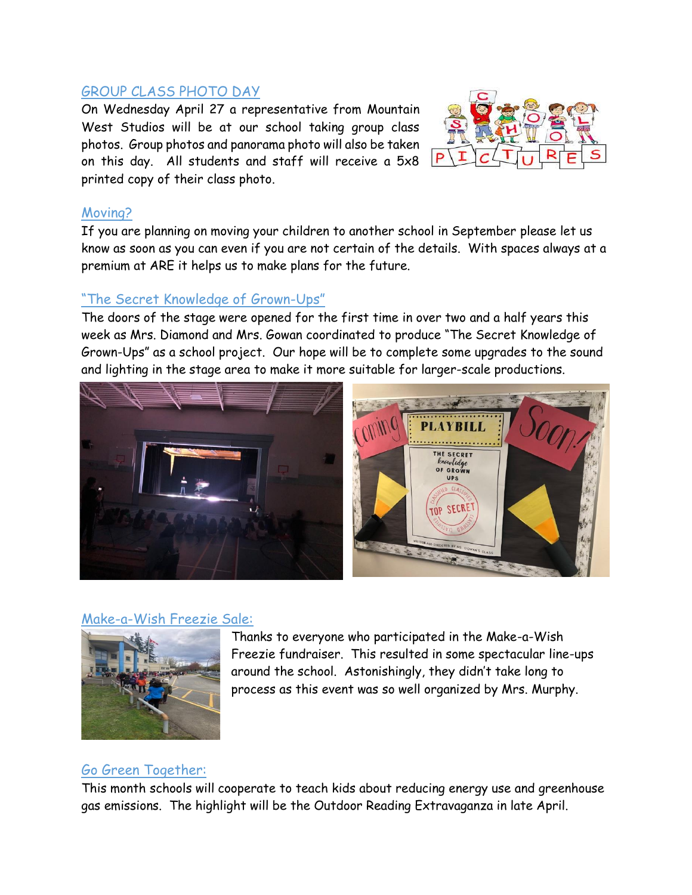#### GROUP CLASS PHOTO DAY

On Wednesday April 27 a representative from Mountain West Studios will be at our school taking group class photos. Group photos and panorama photo will also be taken on this day. All students and staff will receive a 5x8 printed copy of their class photo.



### Moving?

If you are planning on moving your children to another school in September please let us know as soon as you can even if you are not certain of the details. With spaces always at a premium at ARE it helps us to make plans for the future.

### "The Secret Knowledge of Grown-Ups"

The doors of the stage were opened for the first time in over two and a half years this week as Mrs. Diamond and Mrs. Gowan coordinated to produce "The Secret Knowledge of Grown-Ups" as a school project. Our hope will be to complete some upgrades to the sound and lighting in the stage area to make it more suitable for larger-scale productions.



### Make-a-Wish Freezie Sale:



Thanks to everyone who participated in the Make-a-Wish Freezie fundraiser. This resulted in some spectacular line-ups around the school. Astonishingly, they didn't take long to process as this event was so well organized by Mrs. Murphy.

### Go Green Together:

This month schools will cooperate to teach kids about reducing energy use and greenhouse gas emissions. The highlight will be the Outdoor Reading Extravaganza in late April.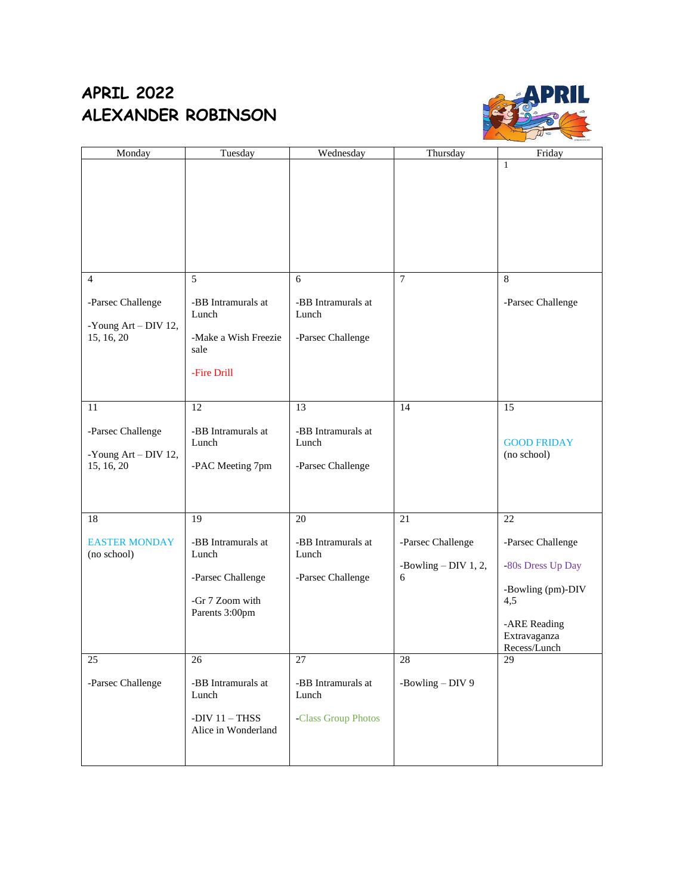### **APRIL 2022 ALEXANDER ROBINSON**



| Monday               | Tuesday                     | Wednesday                   | Thursday                    | Friday                            |
|----------------------|-----------------------------|-----------------------------|-----------------------------|-----------------------------------|
|                      |                             |                             |                             | $\mathbf{1}$                      |
|                      |                             |                             |                             |                                   |
|                      |                             |                             |                             |                                   |
|                      |                             |                             |                             |                                   |
|                      |                             |                             |                             |                                   |
|                      |                             |                             |                             |                                   |
|                      |                             |                             |                             |                                   |
| $\overline{4}$       | 5                           | 6                           | $\overline{7}$              | 8                                 |
|                      |                             |                             |                             |                                   |
| -Parsec Challenge    | -BB Intramurals at<br>Lunch | -BB Intramurals at<br>Lunch |                             | -Parsec Challenge                 |
| -Young Art - DIV 12, |                             |                             |                             |                                   |
| 15, 16, 20           | -Make a Wish Freezie        | -Parsec Challenge           |                             |                                   |
|                      | sale                        |                             |                             |                                   |
|                      | -Fire Drill                 |                             |                             |                                   |
|                      |                             |                             |                             |                                   |
| 11                   | 12                          | 13                          | 14                          | 15                                |
|                      |                             |                             |                             |                                   |
| -Parsec Challenge    | -BB Intramurals at          | -BB Intramurals at          |                             |                                   |
| -Young Art - DIV 12, | Lunch                       | Lunch                       |                             | <b>GOOD FRIDAY</b><br>(no school) |
| 15, 16, 20           | -PAC Meeting 7pm            | -Parsec Challenge           |                             |                                   |
|                      |                             |                             |                             |                                   |
|                      |                             |                             |                             |                                   |
| 18                   | 19                          | 20                          | 21                          | 22                                |
|                      |                             |                             |                             |                                   |
| <b>EASTER MONDAY</b> | -BB Intramurals at          | -BB Intramurals at          | -Parsec Challenge           | -Parsec Challenge                 |
| (no school)          | Lunch                       | Lunch                       |                             |                                   |
|                      | -Parsec Challenge           | -Parsec Challenge           | -Bowling $-$ DIV 1, 2,<br>6 | -80s Dress Up Day                 |
|                      |                             |                             |                             | -Bowling (pm)-DIV                 |
|                      | -Gr 7 Zoom with             |                             |                             | 4,5                               |
|                      | Parents 3:00pm              |                             |                             | -ARE Reading                      |
|                      |                             |                             |                             | Extravaganza                      |
|                      |                             |                             |                             | Recess/Lunch                      |
| 25                   | 26                          | 27                          | 28                          | 29                                |
| -Parsec Challenge    | -BB Intramurals at          | -BB Intramurals at          | -Bowling $-$ DIV 9          |                                   |
|                      | Lunch                       | Lunch                       |                             |                                   |
|                      | -DIV $11 - THSS$            | -Class Group Photos         |                             |                                   |
|                      | Alice in Wonderland         |                             |                             |                                   |
|                      |                             |                             |                             |                                   |
|                      |                             |                             |                             |                                   |